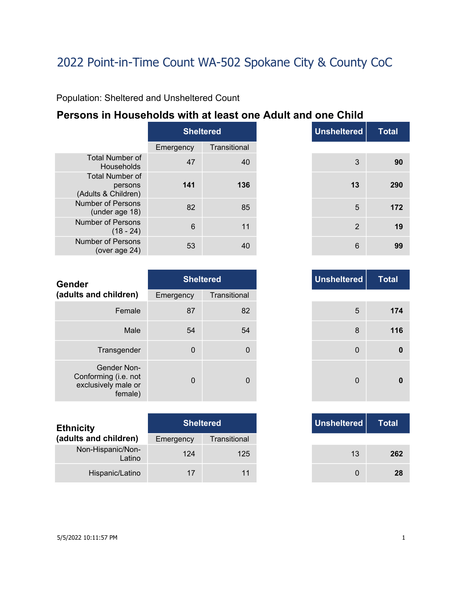Population: Sheltered and Unsheltered Count

### **Persons in Households with at least one Adult and one Child**

|                                                          | <b>Sheltered</b> |              |  |
|----------------------------------------------------------|------------------|--------------|--|
|                                                          | Emergency        | Transitional |  |
| <b>Total Number of</b><br>Households                     | 47               | 40           |  |
| <b>Total Number of</b><br>persons<br>(Adults & Children) | 141              | 136          |  |
| Number of Persons<br>(under age 18)                      | 82               | 85           |  |
| Number of Persons<br>(18 - 24)                           | 6                | 11           |  |
| Number of Persons<br>(over age 24)                       | 53               |              |  |

|                 | <b>Sheltered</b> |
|-----------------|------------------|
| ncy             | Transitional     |
| 47              | 40               |
| 141             | 136              |
| 82              | 85               |
| $6\phantom{1}6$ | 11               |
| 53              | 40               |

| <b>Gender</b>                                                         |             | <b>Sheltered</b> | <b>Unsheltered</b> |
|-----------------------------------------------------------------------|-------------|------------------|--------------------|
| (adults and children)                                                 | Emergency   | Transitional     |                    |
| Female                                                                | 87          | 82               | 5                  |
| Male                                                                  | 54          | 54               | 8                  |
| Transgender                                                           | $\mathbf 0$ | 0                | $\mathbf 0$        |
| Gender Non-<br>Conforming (i.e. not<br>exclusively male or<br>female) | $\Omega$    | 0                | $\Omega$           |

| <b>Ethnicity</b>            |           | <b>Sheltered</b> | Unsheltered |
|-----------------------------|-----------|------------------|-------------|
| (adults and children)       | Emergency | Transitional     |             |
| Non-Hispanic/Non-<br>Latino | 124       | 125              | 13          |
| Hispanic/Latino             | 17        |                  |             |

|          | <b>Sheltered</b> |
|----------|------------------|
| าcy      | Transitional     |
| 87       | 82               |
| 54       | 54               |
| $\Omega$ | 0                |
| $\Omega$ | 0                |

|     | <b>Sheltered</b> |
|-----|------------------|
| ٦cγ | Transitional     |
|     | 125              |
|     | 11               |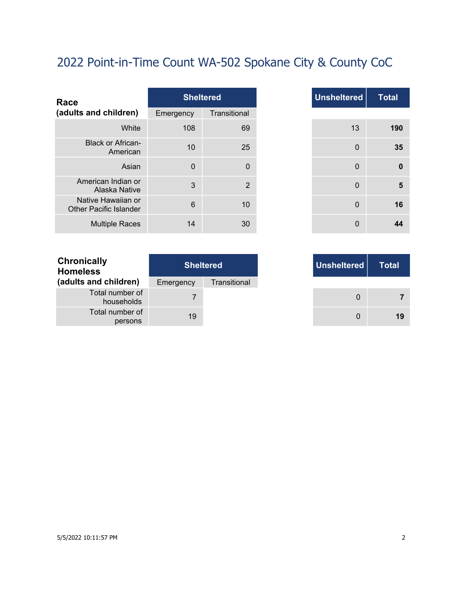| Race                                                |           | <b>Sheltered</b> |
|-----------------------------------------------------|-----------|------------------|
| (adults and children)                               | Emergency | Transitional     |
| White                                               | 108       | 69               |
| <b>Black or African-</b><br>American                | 10        | 25               |
| Asian                                               | $\Omega$  | $\mathbf{0}$     |
| American Indian or<br>Alaska Native                 | 3         | $\overline{2}$   |
| Native Hawaiian or<br><b>Other Pacific Islander</b> | 6         | 10               |
| <b>Multiple Races</b>                               | 14        | 30               |

| <b>Total</b> | <b>Unsheltered</b> | <b>Sheltered</b> |                |
|--------------|--------------------|------------------|----------------|
|              |                    | Transitional     | าcy            |
|              | 13                 | 69               | 108            |
|              | $\mathbf 0$        | 25               | 10             |
|              | 0                  | $\mathbf 0$      | $\mathbf 0$    |
|              | $\mathbf{0}$       | $\overline{2}$   | 3              |
|              | $\mathbf 0$        | 10               | $6\phantom{1}$ |
|              | $\mathbf 0$        | 30               | 14             |

| <b>Sheltered</b> | Unsheltered |
|------------------|-------------|
| Transitional     |             |
|                  |             |
|                  |             |

| <b>Chronically</b><br><b>Homeless</b> | <b>Sheltered</b> |              |  |
|---------------------------------------|------------------|--------------|--|
| (adults and children)                 | Emergency        | Transitional |  |
| Total number of<br>households         |                  |              |  |
| Total number of<br>persons            | 19               |              |  |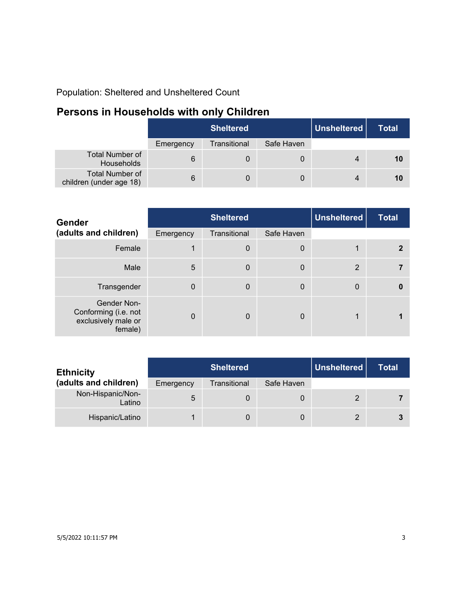Population: Sheltered and Unsheltered Count

### **Persons in Households with only Children**

|                                                   | <b>Sheltered</b> |              |            | Unsheltered | <b>Total</b> |
|---------------------------------------------------|------------------|--------------|------------|-------------|--------------|
|                                                   | Emergency        | Transitional | Safe Haven |             |              |
| <b>Total Number of</b><br>Households              | 6                | 0            | 0          |             | 10           |
| <b>Total Number of</b><br>children (under age 18) | 6                | 0            | 0          |             | 10           |

| <b>Gender</b>                                                         | <b>Sheltered</b> |                  |            | <b>Unsheltered</b> | <b>Total</b> |
|-----------------------------------------------------------------------|------------------|------------------|------------|--------------------|--------------|
| (adults and children)                                                 | Emergency        | Transitional     | Safe Haven |                    |              |
| Female                                                                |                  | $\boldsymbol{0}$ | 0          |                    |              |
| Male                                                                  | 5                | $\mathbf 0$      | 0          | 2                  |              |
| Transgender                                                           | $\Omega$         | $\mathbf 0$      | 0          | $\mathbf{0}$       | 0            |
| Gender Non-<br>Conforming (i.e. not<br>exclusively male or<br>female) | $\Omega$         | $\Omega$         | 0          | 1                  |              |

| <b>Ethnicity</b>            |           | <b>Sheltered</b> | Unsheltered | Total |  |
|-----------------------------|-----------|------------------|-------------|-------|--|
| (adults and children)       | Emergency | Transitional     | Safe Haven  |       |  |
| Non-Hispanic/Non-<br>Latino | 5         |                  |             | 2     |  |
| Hispanic/Latino             |           |                  | 0           | 2     |  |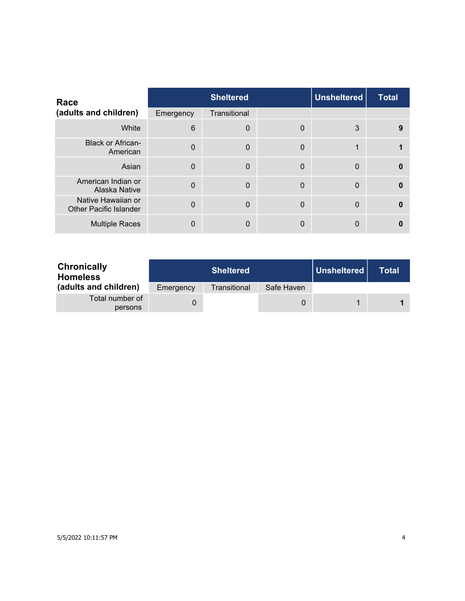| Race                                                |                | <b>Sheltered</b> |             | <b>Unsheltered</b> | <b>Total</b> |
|-----------------------------------------------------|----------------|------------------|-------------|--------------------|--------------|
| (adults and children)                               | Emergency      | Transitional     |             |                    |              |
| White                                               | 6              | $\mathbf 0$      | 0           | 3                  | 9            |
| <b>Black or African-</b><br>American                | $\Omega$       | $\mathbf 0$      | $\mathbf 0$ |                    |              |
| Asian                                               | $\Omega$       | $\mathbf 0$      | $\mathbf 0$ | $\Omega$           | $\Omega$     |
| American Indian or<br>Alaska Native                 | $\overline{0}$ | $\Omega$         | $\Omega$    | $\Omega$           | $\Omega$     |
| Native Hawaiian or<br><b>Other Pacific Islander</b> | $\Omega$       | $\Omega$         | $\Omega$    | $\Omega$           | $\Omega$     |
| <b>Multiple Races</b>                               | 0              | $\mathbf{0}$     | 0           | 0                  |              |

| <b>Chronically</b><br><b>Homeless</b> |           | <b>Sheltered</b> |            | Unsheltered | Total |
|---------------------------------------|-----------|------------------|------------|-------------|-------|
| (adults and children)                 | Emergency | Transitional     | Safe Haven |             |       |
| Total number of<br>persons            |           |                  | O          |             |       |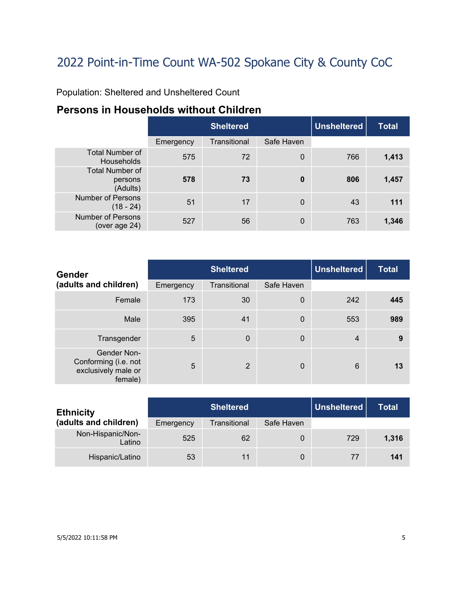Population: Sheltered and Unsheltered Count

### **Persons in Households without Children**

|                                               |           | <b>Sheltered</b> | Unsheltered | <b>Total</b> |       |
|-----------------------------------------------|-----------|------------------|-------------|--------------|-------|
|                                               | Emergency | Transitional     | Safe Haven  |              |       |
| <b>Total Number of</b><br>Households          | 575       | 72               | $\mathbf 0$ | 766          | 1,413 |
| <b>Total Number of</b><br>persons<br>(Adults) | 578       | 73               | $\bf{0}$    | 806          | 1,457 |
| <b>Number of Persons</b><br>$(18 - 24)$       | 51        | 17               | $\Omega$    | 43           | 111   |
| <b>Number of Persons</b><br>(over age 24)     | 527       | 56               | $\mathbf 0$ | 763          | 1,346 |

| Gender                                                                | <b>Sheltered</b> |                |             | <b>Unsheltered</b> | <b>Total</b> |
|-----------------------------------------------------------------------|------------------|----------------|-------------|--------------------|--------------|
| (adults and children)                                                 | Emergency        | Transitional   | Safe Haven  |                    |              |
| Female                                                                | 173              | 30             | 0           | 242                | 445          |
| Male                                                                  | 395              | 41             | $\mathbf 0$ | 553                | 989          |
| Transgender                                                           | 5                | $\mathbf 0$    | $\mathbf 0$ | $\overline{4}$     | 9            |
| Gender Non-<br>Conforming (i.e. not<br>exclusively male or<br>female) | 5                | $\overline{2}$ | 0           | 6                  | 13           |

| <b>Ethnicity</b>            | <b>Sheltered</b> |              |            | Unsheltered | <b>Total</b> |
|-----------------------------|------------------|--------------|------------|-------------|--------------|
| (adults and children)       | Emergency        | Transitional | Safe Haven |             |              |
| Non-Hispanic/Non-<br>Latino | 525              | 62           | 0          | 729         | 1,316        |
| Hispanic/Latino             | 53               | 11           | 0          | 77          | 141          |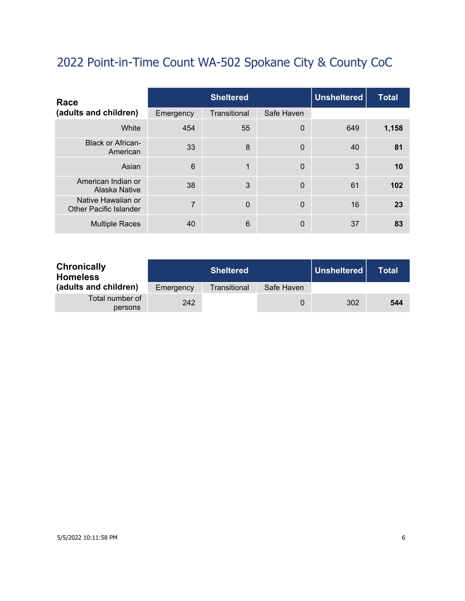| Race                                                |           | <b>Sheltered</b> |             |     | <b>Total</b> |
|-----------------------------------------------------|-----------|------------------|-------------|-----|--------------|
| (adults and children)                               | Emergency | Transitional     | Safe Haven  |     |              |
| White                                               | 454       | 55               | $\mathbf 0$ | 649 | 1,158        |
| <b>Black or African-</b><br>American                | 33        | 8                | $\mathbf 0$ | 40  | 81           |
| Asian                                               | 6         | 1                | $\Omega$    | 3   | 10           |
| American Indian or<br>Alaska Native                 | 38        | 3                | $\mathbf 0$ | 61  | 102          |
| Native Hawaiian or<br><b>Other Pacific Islander</b> | 7         | $\mathbf 0$      | $\mathbf 0$ | 16  | 23           |
| <b>Multiple Races</b>                               | 40        | 6                | 0           | 37  | 83           |

| <b>Chronically</b><br><b>Homeless</b> |           | <b>Sheltered</b> |            | ∣ Unsheltered ∣ | Total |
|---------------------------------------|-----------|------------------|------------|-----------------|-------|
| (adults and children)                 | Emergency | Transitional     | Safe Haven |                 |       |
| Total number of<br>persons            | 242       |                  |            | 302             | 544   |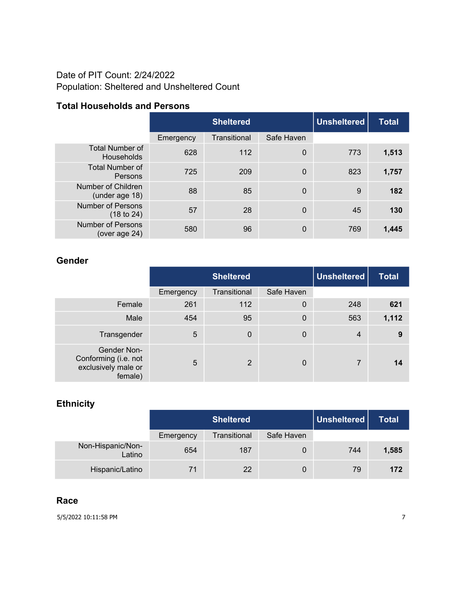#### Date of PIT Count: 2/24/2022 Population: Sheltered and Unsheltered Count

#### **Total Households and Persons**

|                                           | <b>Sheltered</b> |              |             | <b>Unsheltered</b> | <b>Total</b> |
|-------------------------------------------|------------------|--------------|-------------|--------------------|--------------|
|                                           | Emergency        | Transitional | Safe Haven  |                    |              |
| <b>Total Number of</b><br>Households      | 628              | 112          | 0           | 773                | 1,513        |
| <b>Total Number of</b><br>Persons         | 725              | 209          | $\mathbf 0$ | 823                | 1,757        |
| Number of Children<br>(under age 18)      | 88               | 85           | 0           | 9                  | 182          |
| <b>Number of Persons</b><br>(18 to 24)    | 57               | 28           | 0           | 45                 | 130          |
| <b>Number of Persons</b><br>(over age 24) | 580              | 96           | 0           | 769                | 1,445        |

#### **Gender**

|                                                                       |           | <b>Unsheltered</b><br><b>Sheltered</b> |                  |     | <b>Total</b> |
|-----------------------------------------------------------------------|-----------|----------------------------------------|------------------|-----|--------------|
|                                                                       | Emergency | Transitional                           | Safe Haven       |     |              |
| Female                                                                | 261       | 112                                    | $\boldsymbol{0}$ | 248 | 621          |
| Male                                                                  | 454       | 95                                     | $\mathbf 0$      | 563 | 1,112        |
| Transgender                                                           | 5         | $\Omega$                               | 0                | 4   | 9            |
| Gender Non-<br>Conforming (i.e. not<br>exclusively male or<br>female) | 5         | $\overline{2}$                         | 0                | 7   | 14           |

### **Ethnicity**

|                             |           | <b>Sheltered</b> |            | Unsheltered | Total |
|-----------------------------|-----------|------------------|------------|-------------|-------|
|                             | Emergency | Transitional     | Safe Haven |             |       |
| Non-Hispanic/Non-<br>Latino | 654       | 187              | 0          | 744         | 1,585 |
| Hispanic/Latino             |           | 22               | 0          | 79          | 172   |

#### **Race**

5/5/2022 10:11:58 PM 7